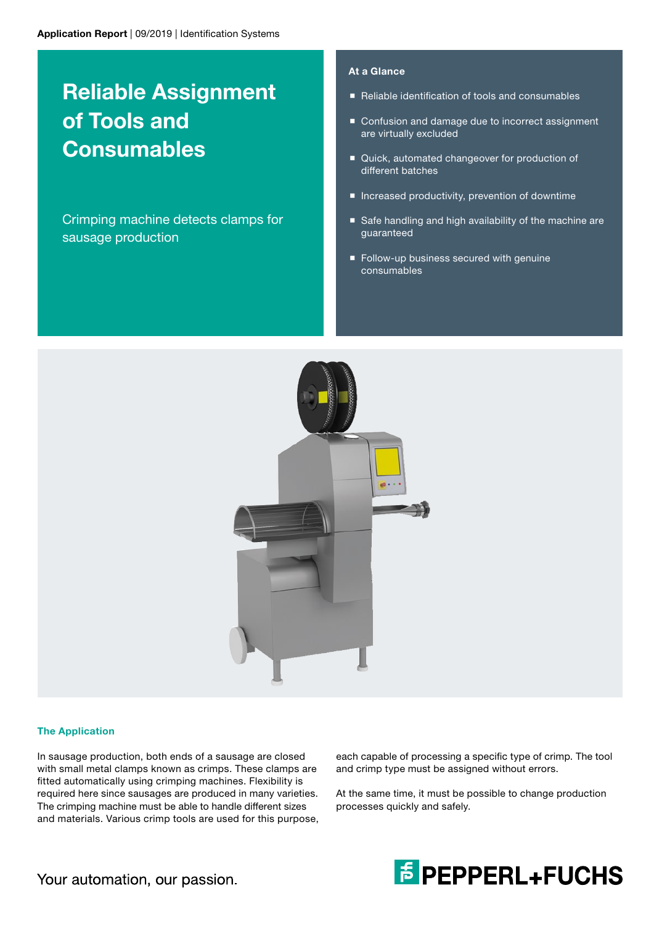# Reliable Assignment of Tools and **Consumables**

Crimping machine detects clamps for sausage production

## At a Glance

- Reliable identification of tools and consumables
- Confusion and damage due to incorrect assignment are virtually excluded
- Quick, automated changeover for production of different batches
- **Increased productivity, prevention of downtime**
- Safe handling and high availability of the machine are guaranteed
- **Follow-up business secured with genuine** consumables



## The Application

In sausage production, both ends of a sausage are closed with small metal clamps known as crimps. These clamps are fitted automatically using crimping machines. Flexibility is required here since sausages are produced in many varieties. The crimping machine must be able to handle different sizes and materials. Various crimp tools are used for this purpose, each capable of processing a specific type of crimp. The tool and crimp type must be assigned without errors.

At the same time, it must be possible to change production processes quickly and safely.